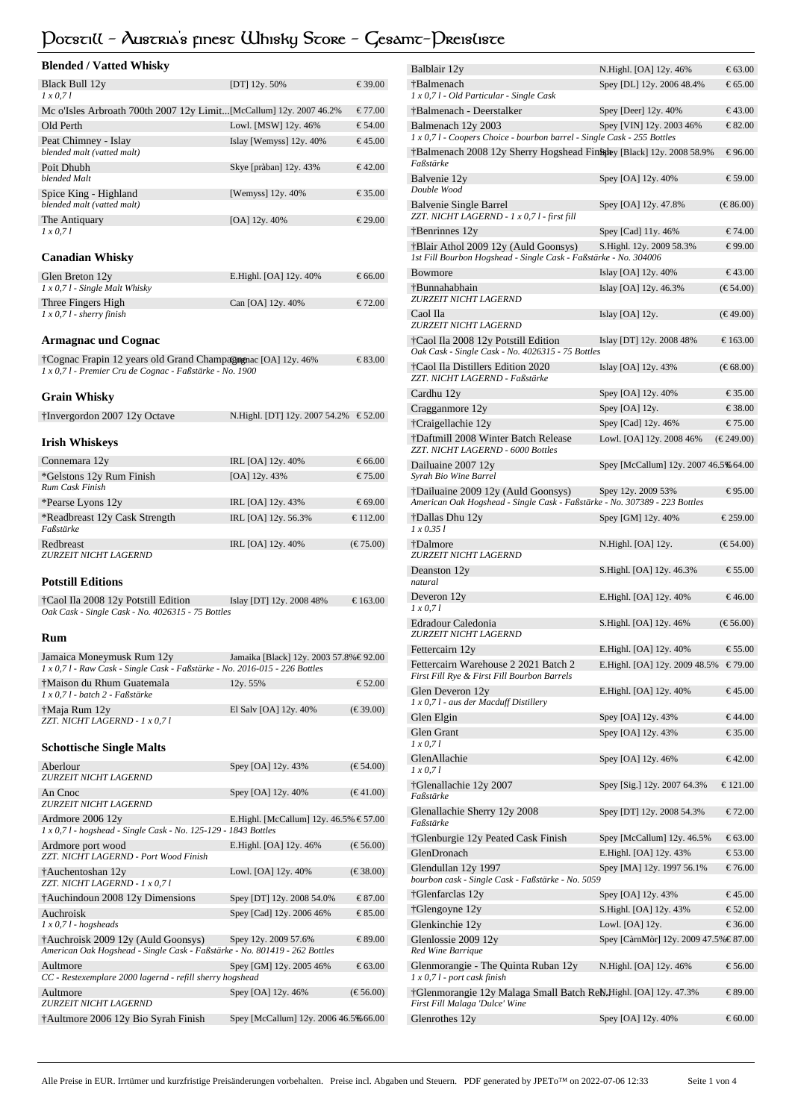# **Potstill - Austria's finest Whisky Store - Gesamt-Preisliste**

| <b>Blended / Vatted Whisky</b>                                                                                          |                                         |                             |
|-------------------------------------------------------------------------------------------------------------------------|-----------------------------------------|-----------------------------|
| Black Bull 12y<br>$1 \times 0.71$                                                                                       | [DT] 12y. 50%                           | € 39.00                     |
| Mc o'Isles Arbroath 700th 2007 12y Limit[McCallum] 12y. 2007 46.2%                                                      |                                         | $\epsilon$ 77.00            |
| Old Perth                                                                                                               | Lowl. [MSW] 12y. 46%                    | € 54.00                     |
| Peat Chimney - Islay<br>blended malt (vatted malt)                                                                      | Islay [Wemyss] 12y. 40%                 | $\epsilon$ 45.00            |
| Poit Dhubh<br>blended Malt                                                                                              | Skye [pràban] 12y. 43%                  | € 42.00                     |
| Spice King - Highland<br>blended malt (vatted malt)                                                                     | [Wemyss] $12y.40%$                      | € 35.00                     |
| The Antiquary<br>1 x 0.71                                                                                               | [OA] $12y.40%$                          | € 29.00                     |
| <b>Canadian Whisky</b>                                                                                                  |                                         |                             |
| Glen Breton 12y                                                                                                         | E.Highl. [OA] 12y. 40%                  | € 66.00                     |
| $1 x 0, 71$ - Single Malt Whisky<br>Three Fingers High                                                                  | Can [OA] 12y. 40%                       | € 72.00                     |
| $1 x 0, 71$ - sherry finish                                                                                             |                                         |                             |
| <b>Armagnac und Cognac</b>                                                                                              |                                         |                             |
| †Cognac Frapin 12 years old Grand Champagognac [OA] 12y. 46%<br>1 x 0,71 - Premier Cru de Cognac - Faßstärke - No. 1900 |                                         | $\epsilon$ 83.00            |
| Grain Whisky                                                                                                            |                                         |                             |
| †Invergordon 2007 12y Octave                                                                                            | N.Highl. [DT] 12y. 2007 54.2%           | € 52.00                     |
| <b>Irish Whiskeys</b>                                                                                                   |                                         |                             |
| Connemara 12y                                                                                                           | IRL [OA] 12y. 40%                       | € 66.00                     |
| *Gelstons 12y Rum Finish<br>Rum Cask Finish                                                                             | [OA] 12y. 43%                           | € 75.00                     |
| *Pearse Lyons 12y                                                                                                       | IRL [OA] 12y. 43%                       | € 69.00                     |
| *Readbreast 12y Cask Strength<br>Faßstärke                                                                              | IRL [OA] 12y. 56.3%                     | € 112.00                    |
| Redbreast<br>ZURZEIT NICHT LAGERND                                                                                      | IRL [OA] 12y. 40%                       | $(\text{€ } 75.00)$         |
| <b>Potstill Editions</b>                                                                                                |                                         |                             |
| †Caol Ila 2008 12y Potstill Edition<br>Oak Cask - Single Cask - No. 4026315 - 75 Bottles                                | Islay [DT] 12y. 2008 48%                | € 163.00                    |
| Rum                                                                                                                     |                                         |                             |
| Jamaica Moneymusk Rum 12y<br>1 x 0,71 - Raw Cask - Single Cask - Faßstärke - No. 2016-015 - 226 Bottles                 | Jamaika [Black] 12y. 2003 57.8% € 92.00 |                             |
| †Maison du Rhum Guatemala<br>1 x 0,7 l - batch 2 - Faßstärke                                                            | 12y. 55%                                | € 52.00                     |
| †Maja Rum 12y<br>ZZT. NICHT LAGERND - 1 x 0,7 l                                                                         | El Salv [OA] 12y. 40%                   | $(\epsilon \ 39.00)$        |
| <b>Schottische Single Malts</b>                                                                                         |                                         |                             |
| Aberlour                                                                                                                | Spey [OA] 12y. 43%                      | $(\epsilon \epsilon 54.00)$ |
| ZURZEIT NICHT LAGERND                                                                                                   |                                         |                             |
| An Cnoc<br>ZURZEIT NICHT LAGERND                                                                                        | Spey [OA] 12y. 40%                      | (€ 41.00)                   |
| Ardmore 2006 12y<br>1 x 0,7 l - hogshead - Single Cask - No. 125-129 - 1843 Bottles                                     | E.Highl. [McCallum] 12y. 46.5% € 57.00  |                             |
| Ardmore port wood<br>ZZT. NICHT LAGERND - Port Wood Finish                                                              | E.Highl. [OA] 12y. 46%                  | $(\text{€}56.00)$           |
| †Auchentoshan 12y<br>ZZT. NICHT LAGERND - 1 x 0,7 l                                                                     | Lowl. [OA] 12y. 40%                     | $(\text{€ } 38.00)$         |
| †Auchindoun 2008 12y Dimensions                                                                                         | Spey [DT] 12y. 2008 54.0%               | € 87.00                     |
| Auchroisk<br>$1 x 0, 7 l$ - hogsheads                                                                                   | Spey [Cad] 12y. 2006 46%                | € 85.00                     |
| †Auchroisk 2009 12y (Auld Goonsys)<br>American Oak Hogshead - Single Cask - Faßstärke - No. 801419 - 262 Bottles        | Spey 12y. 2009 57.6%                    | € 89.00                     |
| Aultmore<br>CC - Restexemplare 2000 lagernd - refill sherry hogshead                                                    | Spey [GM] 12y. 2005 46%                 | € 63.00                     |
| Aultmore                                                                                                                | Spey [OA] 12y. 46%                      | $(\text{€} 56.00)$          |
| ZURZEIT NICHT LAGERND                                                                                                   |                                         |                             |
| †Aultmore 2006 12y Bio Syrah Finish                                                                                     | Spey [McCallum] 12y. 2006 46.5%€ 66.00  |                             |

| Balblair 12y                                                                                      | N.Highl. [OA] 12y. 46%                 | € 63.00              |
|---------------------------------------------------------------------------------------------------|----------------------------------------|----------------------|
| †Balmenach<br>1 x 0,7 l - Old Particular - Single Cask                                            | Spey [DL] 12y. 2006 48.4%              | € 65.00              |
| †Balmenach - Deerstalker                                                                          | Spey [Deer] 12y. 40%                   | € 43.00              |
| Balmenach 12y 2003                                                                                | Spey [VIN] 12y. 2003 46%               | $\epsilon$ 82.00     |
| 1 x 0,71 - Coopers Choice - bourbon barrel - Single Cask - 255 Bottles                            |                                        |                      |
| †Balmenach 2008 12y Sherry Hogshead Finst plack 12y. 2008 58.9%<br>Faßstärke                      |                                        | € 96.00              |
| Balvenie 12y<br>Double Wood                                                                       | Spey [OA] 12y. 40%                     | € 59.00              |
| Balvenie Single Barrel<br>ZZT. NICHT LAGERND - 1 x 0,7 l - first fill                             | Spey [OA] 12y. 47.8%                   | $(\text{€ } 86.00)$  |
| †Benrinnes 12y                                                                                    | Spey [Cad] 11y. 46%                    | € 74.00              |
| †Blair Athol 2009 12y (Auld Goonsys)                                                              | S.Highl. 12y. 2009 58.3%               | € 99.00              |
| 1st Fill Bourbon Hogshead - Single Cask - Faßstärke - No. 304006                                  |                                        |                      |
| Bowmore                                                                                           | Islay [OA] 12y. 40%                    | €43.00               |
| †Bunnahabhain<br>ZURZEIT NICHT LAGERND                                                            | Islay [OA] 12y. 46.3%                  | $(\text{€} 54.00)$   |
| Caol Ila<br>ZURZEIT NICHT LAGERND                                                                 | Islay $[OA]$ 12y.                      | (€ 49.00)            |
| †Caol Ila 2008 12y Potstill Edition                                                               | Islay [DT] 12y. 2008 48%               | € 163.00             |
| Oak Cask - Single Cask - No. 4026315 - 75 Bottles                                                 |                                        |                      |
| †Caol Ila Distillers Edition 2020<br>ZZT. NICHT LAGERND - Faßstärke                               | Islay [OA] 12y. 43%                    | (€ 68.00)            |
| Cardhu 12y                                                                                        | Spey [OA] 12y. 40%                     | $\epsilon$ 35.00     |
| Cragganmore 12y                                                                                   | $Spey$ [OA] 12y.                       | $\epsilon$ 38.00     |
| †Craigellachie 12y                                                                                | Spey [Cad] 12y. 46%                    | € 75.00              |
| †Daftmill 2008 Winter Batch Release<br>ZZT. NICHT LAGERND - 6000 Bottles                          | Lowl. [OA] 12y. 2008 46%               | $(\text{€ } 249.00)$ |
| Dailuaine 2007 12y<br>Syrah Bio Wine Barrel                                                       | Spey [McCallum] 12y. 2007 46.5%€ 64.00 |                      |
| †Dailuaine 2009 12y (Auld Goonsys)                                                                | Spey 12y. 2009 53%                     | € 95.00              |
| American Oak Hogshead - Single Cask - Faßstärke - No. 307389 - 223 Bottles                        |                                        |                      |
| †Dallas Dhu 12y<br>$1 \times 0.351$                                                               | Spey [GM] 12y. 40%                     | € 259.00             |
| †Dalmore<br>ZURZEIT NICHT LAGERND                                                                 | N.Highl. [OA] 12y.                     | $(\text{€}54.00)$    |
| Deanston 12y<br>natural                                                                           | S.Highl. [OA] 12y. 46.3%               | € 55.00              |
| Deveron 12y<br>$1 \times 0.71$                                                                    | E.Highl. [OA] 12y. 40%                 | € 46.00              |
| Edradour Caledonia<br>ZURZEIT NICHT LAGERND                                                       | S.Highl. [OA] 12y. 46%                 | $(\text{€} 56.00)$   |
| Fettercairn 12y                                                                                   | E.Highl. [OA] 12y. 40%                 | € 55.00              |
| Fettercairn Warehouse 2 2021 Batch 2                                                              | E.Highl. [OA] 12y. 2009 48.5%          | € 79.00              |
| First Fill Rye & First Fill Bourbon Barrels<br>Glen Deveron 12y                                   | E.Highl. [OA] 12y. 40%                 | € 45.00              |
| 1 x 0,7 l - aus der Macduff Distillery                                                            |                                        |                      |
| Glen Elgin                                                                                        | Spey [OA] 12y. 43%                     | € 44.00              |
| <b>Glen Grant</b><br>1 x 0.71                                                                     | Spey [OA] 12y. 43%                     | € 35.00              |
| GlenAllachie<br>$1 \times 0.71$                                                                   | Spey [OA] 12y. 46%                     | € 42.00              |
| †Glenallachie 12y 2007<br>Faßstärke                                                               | Spey [Sig.] 12y. 2007 64.3%            | € 121.00             |
| Glenallachie Sherry 12y 2008<br>Faßstärke                                                         | Spey [DT] 12y. 2008 54.3%              | € 72.00              |
| †Glenburgie 12y Peated Cask Finish                                                                | Spey [McCallum] 12y. 46.5%             | € 63.00              |
| GlenDronach                                                                                       | E.Highl. [OA] 12y. 43%                 | € 53.00              |
| Glendullan 12y 1997<br>bourbon cask - Single Cask - Faßstärke - No. 5059                          | Spey [MA] 12y. 1997 56.1%              | € 76.00              |
| †Glenfarclas 12y                                                                                  | Spey [OA] 12y. 43%                     | € 45.00              |
| †Glengoyne 12y                                                                                    | S.Highl. [OA] 12y. 43%                 | € 52.00              |
|                                                                                                   | Lowl. [OA] 12y.                        | € 36.00              |
| Glenkinchie 12y                                                                                   |                                        |                      |
| Glenlossie 2009 12y<br>Red Wine Barrique                                                          | Spey [CàrnMòr] 12y. 2009 47.5%€ 87.00  |                      |
| Glenmorangie - The Quinta Ruban 12y<br>$1 x 0, 71$ - port cask finish                             | N.Highl. [OA] 12y. 46%                 | € 56.00              |
| †Glenmorangie 12y Malaga Small Batch ReN.Highl. [OA] 12y. 47.3%<br>First Fill Malaga 'Dulce' Wine |                                        | € 89.00              |
| Glenrothes 12y                                                                                    | Spey [OA] 12y. 40%                     | € 60.00              |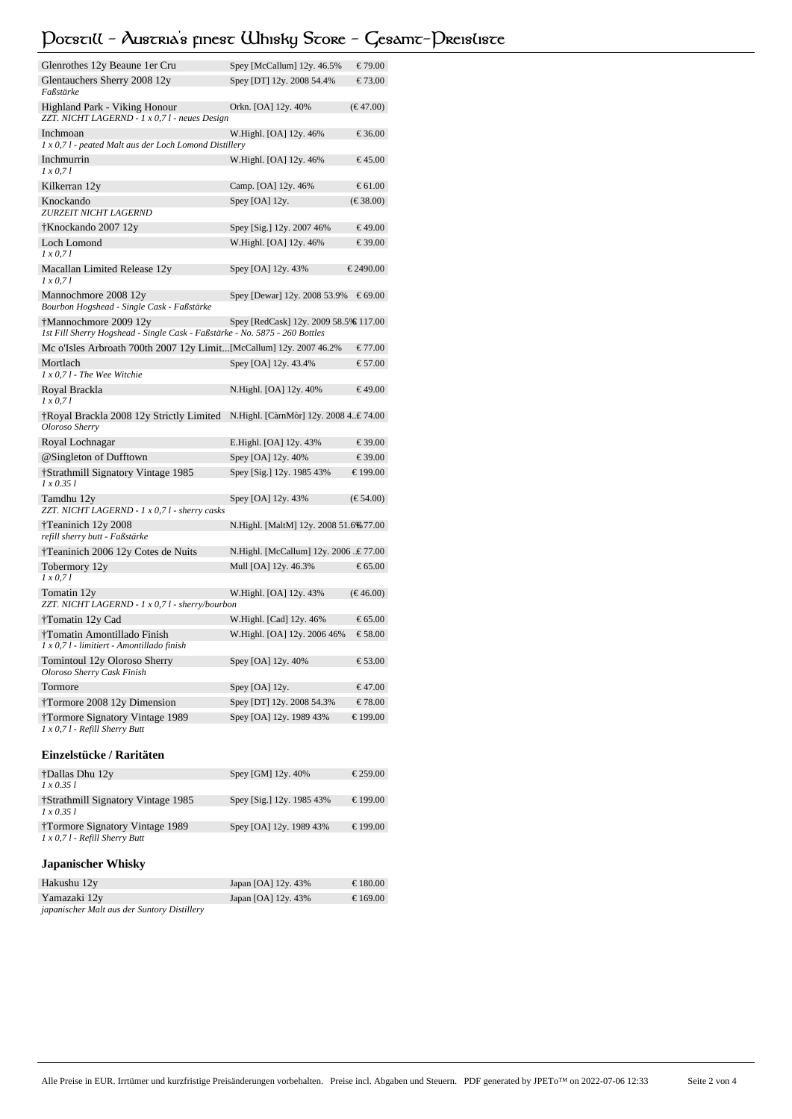# **Potstill - Austria's finest Whisky Store - Gesamt-Preisliste**

| Glenrothes 12y Beaune 1er Cru                                                                        | Spey [McCallum] 12y. 46.5%             | € 79.00                     |
|------------------------------------------------------------------------------------------------------|----------------------------------------|-----------------------------|
| Glentauchers Sherry 2008 12y<br>Faßstärke                                                            | Spey [DT] 12y. 2008 54.4%              | € 73.00                     |
| Highland Park - Viking Honour<br>ZZT. NICHT LAGERND - 1 x 0,7 l - neues Design                       | Orkn. [OA] 12y. 40%                    | (€ 47.00)                   |
| Inchmoan                                                                                             | W.Highl. [OA] 12y. 46%                 | € 36.00                     |
| 1 x 0,7 l - peated Malt aus der Loch Lomond Distillery                                               |                                        |                             |
| Inchmurrin<br>1 x 0, 7 l                                                                             | W.Highl. [OA] 12y. 46%                 | € 45.00                     |
| Kilkerran 12y                                                                                        | Camp. [OA] 12y. 46%                    | € 61.00                     |
| Knockando<br>ZURZEIT NICHT LAGERND                                                                   | Spey [OA] 12y.                         | $(\epsilon \ 38.00)$        |
| †Knockando 2007 12y                                                                                  | Spey [Sig.] 12y. 2007 46%              | € 49.00                     |
| Loch Lomond<br>$1 \times 0.71$                                                                       | W.Highl. [OA] 12y. 46%                 | € 39.00                     |
| Macallan Limited Release 12y<br>$1 \times 0.71$                                                      | Spey [OA] 12y. 43%                     | € 2490.00                   |
| Mannochmore 2008 12y<br>Bourbon Hogshead - Single Cask - Faßstärke                                   | Spey [Dewar] 12y. 2008 53.9%           | € 69.00                     |
| †Mannochmore 2009 12y<br>1st Fill Sherry Hogshead - Single Cask - Faßstärke - No. 5875 - 260 Bottles | Spey [RedCask] 12y. 2009 58.5%€ 117.00 |                             |
| Mc o'Isles Arbroath 700th 2007 12y Limit[McCallum] 12y. 2007 46.2%                                   |                                        | € 77.00                     |
| Mortlach                                                                                             | Spey [OA] 12y. 43.4%                   | € 57.00                     |
| 1 x 0,7 l - The Wee Witchie                                                                          |                                        |                             |
| Royal Brackla<br>1 x 0, 71                                                                           | N.Highl. [OA] 12y. 40%                 | € 49.00                     |
| †Royal Brackla 2008 12y Strictly Limited<br>Oloroso Sherry                                           | N.Highl. [CàrnMòr] 12y. 2008 4€ 74.00  |                             |
| Royal Lochnagar                                                                                      | E.Highl. [OA] 12y. 43%                 | € 39.00                     |
| @Singleton of Dufftown                                                                               | Spey [OA] 12y. 40%                     | € 39.00                     |
| <i><b>†Strathmill Signatory Vintage 1985</b></i><br>1 x 0.35 1                                       | Spey [Sig.] 12y. 1985 43%              | € 199.00                    |
| Tamdhu 12y<br>ZZT. NICHT LAGERND - 1 x 0,7 l - sherry casks                                          | Spey [OA] 12y. 43%                     | $(\epsilon \epsilon 54.00)$ |
| †Teaninich 12y 2008<br>refill sherry butt - Faßstärke                                                | N.Highl. [MaltM] 12y. 2008 51.6% 77.00 |                             |
| †Teaninich 2006 12y Cotes de Nuits                                                                   | N.Highl. [McCallum] 12y. 2006 € 77.00  |                             |
| Tobermory 12y<br>1 x 0, 71                                                                           | Mull [OA] 12y. 46.3%                   | € 65.00                     |
| Tomatin 12y<br>ZZT. NICHT LAGERND - 1 x 0,7 l - sherry/bourbon                                       | W.Highl. [OA] 12y. 43%                 | (€ 46.00)                   |
| †Tomatin 12y Cad                                                                                     | W.Highl. [Cad] 12y. 46%                | € 65.00                     |
| †Tomatin Amontillado Finish<br>1 x 0,7 l - limitiert - Amontillado finish                            | W.Highl. [OA] 12y. 2006 46%            | € 58.00                     |
| Tomintoul 12y Oloroso Sherry<br>Oloroso Sherry Cask Finish                                           | Spey [OA] 12y. 40%                     | € 53.00                     |
| Tormore                                                                                              | Spey [OA] 12y.                         | € 47.00                     |
| †Tormore 2008 12y Dimension                                                                          | Spey [DT] 12y. 2008 54.3%              | € 78.00                     |
| †Tormore Signatory Vintage 1989                                                                      | Spey [OA] 12y. 1989 43%                | € 199.00                    |
| 1 x 0,7 l - Refill Sherry Butt                                                                       |                                        |                             |

# **Einzelstücke / Raritäten**

| †Dallas Dhu 12y                    | Spey [GM] 12y. 40%        | € 259.00 |
|------------------------------------|---------------------------|----------|
| $1 \times 0.351$                   |                           |          |
| †Strathmill Signatory Vintage 1985 | Spey [Sig.] 12y. 1985 43% | € 199.00 |
| $1 \times 0.351$                   |                           |          |
| †Tormore Signatory Vintage 1989    | Spey [OA] 12y, 1989 43%   | € 199.00 |
| $1 x 0.71$ - Refill Sherry Butt    |                           |          |

# **Japanischer Whisky**

| Hakushu 12y                                 | Japan [OA] $12y.43%$ | € 180.00 |
|---------------------------------------------|----------------------|----------|
| Yamazaki 12y                                | Japan [OA] $12y.43%$ | € 169.00 |
| japanischer Malt aus der Suntory Distillery |                      |          |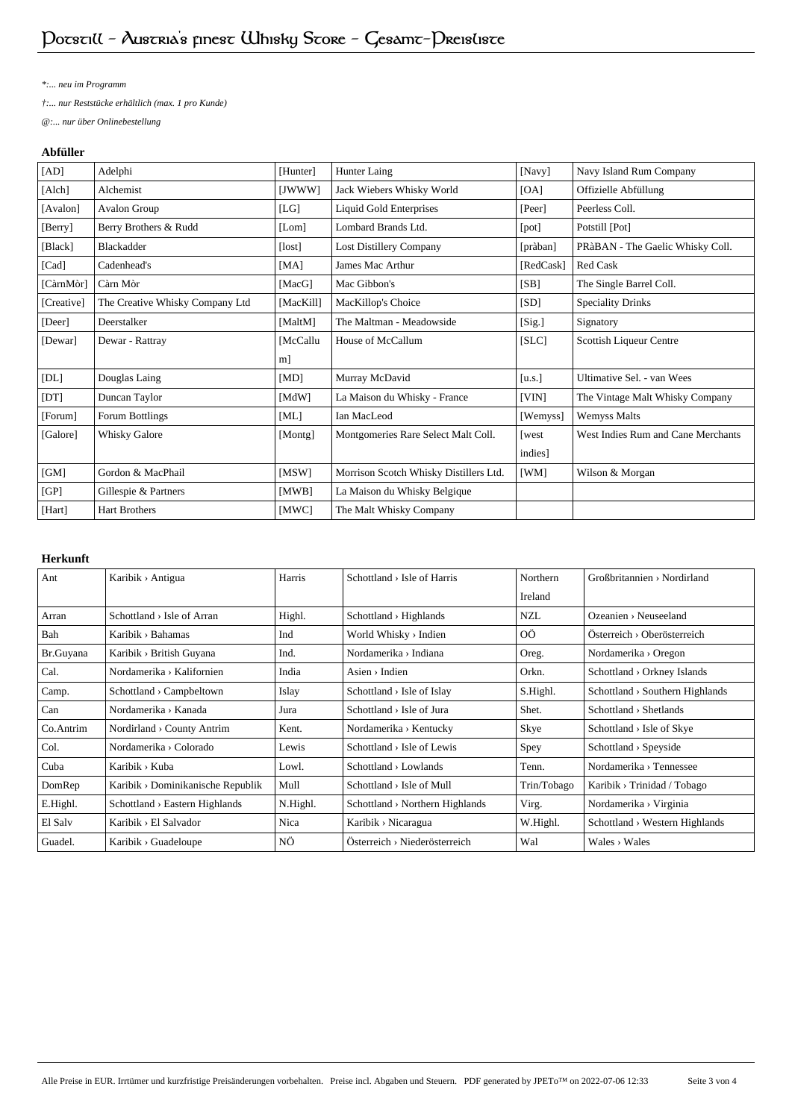*\*:... neu im Programm*

*†:... nur Reststücke erhältlich (max. 1 pro Kunde)*

*@:... nur über Onlinebestellung*

## **Abfüller**

| [AD]       | Adelphi                         | [Hunter]   | Hunter Laing                           | [Navy]    | Navy Island Rum Company            |
|------------|---------------------------------|------------|----------------------------------------|-----------|------------------------------------|
| [Alch]     | Alchemist                       | [JWWW]     | Jack Wiebers Whisky World              | [OA]      | Offizielle Abfüllung               |
| [Avalon]   | Avalon Group                    | [LG]       | <b>Liquid Gold Enterprises</b>         | [Peer]    | Peerless Coll.                     |
| [Berry]    | Berry Brothers & Rudd           | [Lom]      | Lombard Brands Ltd.                    | [pot]     | Potstill [Pot]                     |
| [Black]    | Blackadder                      | [lost]     | Lost Distillery Company                | [pràban]  | PRàBAN - The Gaelic Whisky Coll.   |
| [Cad]      | Cadenhead's                     | [MA]       | James Mac Arthur                       | [RedCask] | <b>Red Cask</b>                    |
| [CàrnMòr]  | Càrn Mòr                        | [ $MacG$ ] | Mac Gibbon's                           | [SB]      | The Single Barrel Coll.            |
| [Creative] | The Creative Whisky Company Ltd | [MacKill]  | MacKillop's Choice                     | [SD]      | <b>Speciality Drinks</b>           |
| [Deer]     | Deerstalker                     | [MaltM]    | The Maltman - Meadowside               | [Sig.]    | Signatory                          |
| [Dewar]    | Dewar - Rattray                 | [McCallu   | House of McCallum                      | [SLC]     | Scottish Liqueur Centre            |
|            |                                 | m]         |                                        |           |                                    |
| [DL]       | Douglas Laing                   | [MD]       | Murray McDavid                         | [u.s.]    | Ultimative Sel. - van Wees         |
| [DT]       | Duncan Taylor                   | [MdW]      | La Maison du Whisky - France           | [VIN]     | The Vintage Malt Whisky Company    |
| [Forum]    | Forum Bottlings                 | [ML]       | Ian MacLeod                            | [Wemyss]  | <b>Wemyss Malts</b>                |
| [Galore]   | Whisky Galore                   | [Montg]    | Montgomeries Rare Select Malt Coll.    | [west     | West Indies Rum and Cane Merchants |
|            |                                 |            |                                        | indies]   |                                    |
| [GM]       | Gordon & MacPhail               | [MSW]      | Morrison Scotch Whisky Distillers Ltd. | [WM]      | Wilson & Morgan                    |
| [GP]       | Gillespie & Partners            | [MWB]      | La Maison du Whisky Belgique           |           |                                    |
| [Hart]     | <b>Hart Brothers</b>            | [MWC]      | The Malt Whisky Company                |           |                                    |

## **Herkunft**

| Ant       | Karibik > Antigua                          | Harris   | $Schottland > Isle$ of Harris               | Northern    | GroBbritaninen > Nordirland                 |
|-----------|--------------------------------------------|----------|---------------------------------------------|-------------|---------------------------------------------|
|           |                                            |          |                                             | Ireland     |                                             |
| Arran     | $Schottland \rightarrow Isle$ of Arran     | Highl.   | $Schottland \rightarrow Highlands$          | <b>NZL</b>  | $O$ zeanien > Neuseeland                    |
| Bah       | Karibik > Bahamas                          | Ind      | World Whisky > Indien                       | 0Ö          | $Österreich \rightarrow Oberösterreich$     |
| Br.Guyana | Karibik > British Guyana                   | Ind.     | Nordamerika > Indiana                       | Oreg.       | Nordamerika > Oregon                        |
| Cal.      | Nordamerika > Kalifornien                  | India    | $\text{Aisen} \rightarrow \text{Indien}$    | Orkn.       | Schottland > Orkney Islands                 |
| Camp.     | Schottland > Campbeltown                   | Islay    | Schottland $>$ Isle of Islay                | S.Highl.    | $Schottland \rightarrow Southern$ Highlands |
| Can       | Nordamerika > Kanada                       | Jura     | Schottland $>$ Isle of Jura                 | Shet.       | Schottland > Shetlands                      |
| Co.Antrim | Nordirland > County Antrim                 | Kent.    | Nordamerika > Kentucky                      | Skye        | Schottland > Isle of Skye                   |
| Col.      | Nordamerika > Colorado                     | Lewis    | $Schottland \rightarrow Isle of Lewis$      | Spey        | $Schottland \rightarrow Speyside$           |
| Cuba      | Karibik > Kuba                             | Lowl.    | $Schottland \rightarrow Lowlands$           | Tenn.       | Nordamerika > Tennessee                     |
| DomRep    | Karibik > Dominikanische Republik          | Mull     | $Schottland \rightarrow Isle$ of Mull       | Trin/Tobago | Karibik > Trinidad / Tobago                 |
| E.Highl.  | $Schottland \rightarrow Eastern Highlands$ | N.Highl. | $Schottland \rightarrow Northern Highlands$ | Virg.       | Nordamerika > Virginia                      |
| El Salv   | Karibik > El Salvador                      | Nica     | Karibik > Nicaragua                         | W.Highl.    | Schottland > Western Highlands              |
| Guadel.   | Karibik > Guadeloupe                       | ΝÖ       | $Österreich \rightarrow Niederösterreich$   | Wal         | $Wales \rightarrow Wales$                   |